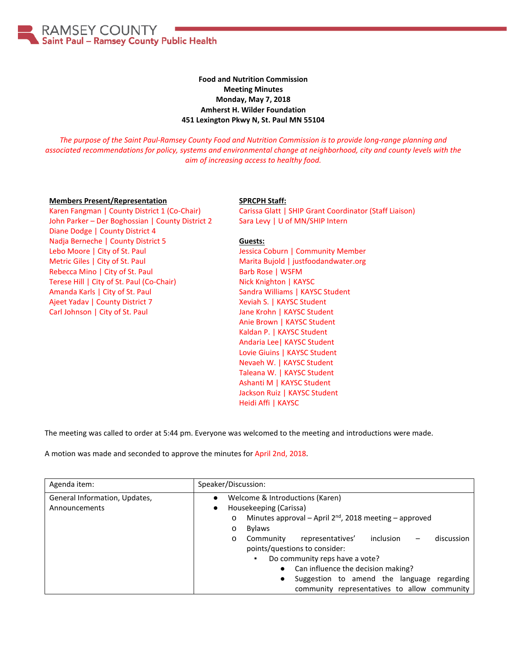**RAMSEY COUNTY** Saint Paul - Ramsey County Public Health

### **Food and Nutrition Commission Meeting Minutes Monday, May 7, 2018 Amherst H. Wilder Foundation 451 Lexington Pkwy N, St. Paul MN 55104**

*The purpose of the Saint Paul-Ramsey County Food and Nutrition Commission is to provide long-range planning and associated recommendations for policy, systems and environmental change at neighborhood, city and county levels with the aim of increasing access to healthy food.*

#### **Members Present/Representation**

Karen Fangman | County District 1 (Co-Chair) John Parker - Der Boghossian | County District 2 Diane Dodge | County District 4 Nadja Berneche | County District 5 Lebo Moore | City of St. Paul Metric Giles | City of St. Paul Rebecca Mino | City of St. Paul Terese Hill | City of St. Paul (Co-Chair) Amanda Karls | City of St. Paul Ajeet Yadav | County District 7 Carl Johnson | City of St. Paul

#### **SPRCPH Staff:**

Carissa Glatt | SHIP Grant Coordinator (Staff Liaison) Sara Levy | U of MN/SHIP Intern

### **Guests:**

Jessica Coburn | Community Member Marita Bujold | justfoodandwater.org Barb Rose | WSFM Nick Knighton | KAYSC Sandra Williams | KAYSC Student Xeviah S. | KAYSC Student Jane Krohn | KAYSC Student Anie Brown | KAYSC Student Kaldan P. | KAYSC Student Andaria Lee| KAYSC Student Lovie Giuins | KAYSC Student Nevaeh W. | KAYSC Student Taleana W. | KAYSC Student Ashanti M | KAYSC Student Jackson Ruiz | KAYSC Student Heidi Affi | KAYSC

The meeting was called to order at 5:44 pm. Everyone was welcomed to the meeting and introductions were made.

A motion was made and seconded to approve the minutes for April 2nd, 2018.

| Agenda item:                                   | Speaker/Discussion:                                                                                                                                                                                                                                                                                                                                                                                                                                                                                  |
|------------------------------------------------|------------------------------------------------------------------------------------------------------------------------------------------------------------------------------------------------------------------------------------------------------------------------------------------------------------------------------------------------------------------------------------------------------------------------------------------------------------------------------------------------------|
| General Information, Updates,<br>Announcements | Welcome & Introductions (Karen)<br>Housekeeping (Carissa)<br>$\bullet$<br>Minutes approval - April 2 <sup>nd</sup> , 2018 meeting - approved<br>$\circ$<br><b>Bylaws</b><br>$\circ$<br>inclusion<br>representatives'<br>discussion<br>Community<br>$\circ$<br>points/questions to consider:<br>Do community reps have a vote?<br>٠.<br>Can influence the decision making?<br>$\bullet$<br>Suggestion to amend the language<br>regarding<br>$\bullet$<br>community representatives to allow community |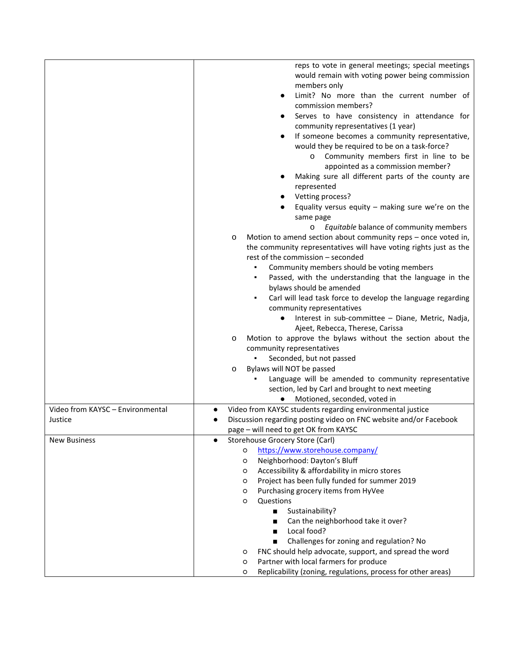|                                  | reps to vote in general meetings; special meetings<br>would remain with voting power being commission<br>members only<br>Limit? No more than the current number of<br>commission members?<br>Serves to have consistency in attendance for<br>$\bullet$<br>community representatives (1 year)<br>If someone becomes a community representative,<br>would they be required to be on a task-force?<br>Community members first in line to be<br>O<br>appointed as a commission member?<br>Making sure all different parts of the county are<br>represented<br>Vetting process?<br>Equality versus equity $-$ making sure we're on the<br>same page<br>Equitable balance of community members<br>$\circ$<br>Motion to amend section about community reps - once voted in,<br>O<br>the community representatives will have voting rights just as the<br>rest of the commission - seconded<br>Community members should be voting members<br>Passed, with the understanding that the language in the<br>bylaws should be amended<br>Carl will lead task force to develop the language regarding<br>community representatives<br>Interest in sub-committee - Diane, Metric, Nadja,<br>Ajeet, Rebecca, Therese, Carissa<br>Motion to approve the bylaws without the section about the<br>$\circ$<br>community representatives<br>Seconded, but not passed<br>Bylaws will NOT be passed<br>$\circ$<br>Language will be amended to community representative |
|----------------------------------|-------------------------------------------------------------------------------------------------------------------------------------------------------------------------------------------------------------------------------------------------------------------------------------------------------------------------------------------------------------------------------------------------------------------------------------------------------------------------------------------------------------------------------------------------------------------------------------------------------------------------------------------------------------------------------------------------------------------------------------------------------------------------------------------------------------------------------------------------------------------------------------------------------------------------------------------------------------------------------------------------------------------------------------------------------------------------------------------------------------------------------------------------------------------------------------------------------------------------------------------------------------------------------------------------------------------------------------------------------------------------------------------------------------------------------------------------|
|                                  | section, led by Carl and brought to next meeting                                                                                                                                                                                                                                                                                                                                                                                                                                                                                                                                                                                                                                                                                                                                                                                                                                                                                                                                                                                                                                                                                                                                                                                                                                                                                                                                                                                                |
|                                  | Motioned, seconded, voted in                                                                                                                                                                                                                                                                                                                                                                                                                                                                                                                                                                                                                                                                                                                                                                                                                                                                                                                                                                                                                                                                                                                                                                                                                                                                                                                                                                                                                    |
| Video from KAYSC - Environmental | Video from KAYSC students regarding environmental justice                                                                                                                                                                                                                                                                                                                                                                                                                                                                                                                                                                                                                                                                                                                                                                                                                                                                                                                                                                                                                                                                                                                                                                                                                                                                                                                                                                                       |
| Justice                          | Discussion regarding posting video on FNC website and/or Facebook                                                                                                                                                                                                                                                                                                                                                                                                                                                                                                                                                                                                                                                                                                                                                                                                                                                                                                                                                                                                                                                                                                                                                                                                                                                                                                                                                                               |
| <b>New Business</b>              | page - will need to get OK from KAYSC<br>Storehouse Grocery Store (Carl)<br>$\bullet$                                                                                                                                                                                                                                                                                                                                                                                                                                                                                                                                                                                                                                                                                                                                                                                                                                                                                                                                                                                                                                                                                                                                                                                                                                                                                                                                                           |
|                                  | https://www.storehouse.company/<br>$\circ$                                                                                                                                                                                                                                                                                                                                                                                                                                                                                                                                                                                                                                                                                                                                                                                                                                                                                                                                                                                                                                                                                                                                                                                                                                                                                                                                                                                                      |
|                                  | Neighborhood: Dayton's Bluff<br>$\circ$                                                                                                                                                                                                                                                                                                                                                                                                                                                                                                                                                                                                                                                                                                                                                                                                                                                                                                                                                                                                                                                                                                                                                                                                                                                                                                                                                                                                         |
|                                  | Accessibility & affordability in micro stores<br>$\circ$                                                                                                                                                                                                                                                                                                                                                                                                                                                                                                                                                                                                                                                                                                                                                                                                                                                                                                                                                                                                                                                                                                                                                                                                                                                                                                                                                                                        |
|                                  | Project has been fully funded for summer 2019<br>$\circ$                                                                                                                                                                                                                                                                                                                                                                                                                                                                                                                                                                                                                                                                                                                                                                                                                                                                                                                                                                                                                                                                                                                                                                                                                                                                                                                                                                                        |
|                                  | Purchasing grocery items from HyVee<br>$\circ$                                                                                                                                                                                                                                                                                                                                                                                                                                                                                                                                                                                                                                                                                                                                                                                                                                                                                                                                                                                                                                                                                                                                                                                                                                                                                                                                                                                                  |
|                                  | Questions<br>$\circ$                                                                                                                                                                                                                                                                                                                                                                                                                                                                                                                                                                                                                                                                                                                                                                                                                                                                                                                                                                                                                                                                                                                                                                                                                                                                                                                                                                                                                            |
|                                  | Sustainability?<br>$\blacksquare$                                                                                                                                                                                                                                                                                                                                                                                                                                                                                                                                                                                                                                                                                                                                                                                                                                                                                                                                                                                                                                                                                                                                                                                                                                                                                                                                                                                                               |
|                                  | Can the neighborhood take it over?<br>■                                                                                                                                                                                                                                                                                                                                                                                                                                                                                                                                                                                                                                                                                                                                                                                                                                                                                                                                                                                                                                                                                                                                                                                                                                                                                                                                                                                                         |
|                                  | Local food?                                                                                                                                                                                                                                                                                                                                                                                                                                                                                                                                                                                                                                                                                                                                                                                                                                                                                                                                                                                                                                                                                                                                                                                                                                                                                                                                                                                                                                     |
|                                  | Challenges for zoning and regulation? No                                                                                                                                                                                                                                                                                                                                                                                                                                                                                                                                                                                                                                                                                                                                                                                                                                                                                                                                                                                                                                                                                                                                                                                                                                                                                                                                                                                                        |
|                                  | FNC should help advocate, support, and spread the word<br>O                                                                                                                                                                                                                                                                                                                                                                                                                                                                                                                                                                                                                                                                                                                                                                                                                                                                                                                                                                                                                                                                                                                                                                                                                                                                                                                                                                                     |
|                                  | Partner with local farmers for produce<br>$\circ$                                                                                                                                                                                                                                                                                                                                                                                                                                                                                                                                                                                                                                                                                                                                                                                                                                                                                                                                                                                                                                                                                                                                                                                                                                                                                                                                                                                               |
|                                  | Replicability (zoning, regulations, process for other areas)<br>O                                                                                                                                                                                                                                                                                                                                                                                                                                                                                                                                                                                                                                                                                                                                                                                                                                                                                                                                                                                                                                                                                                                                                                                                                                                                                                                                                                               |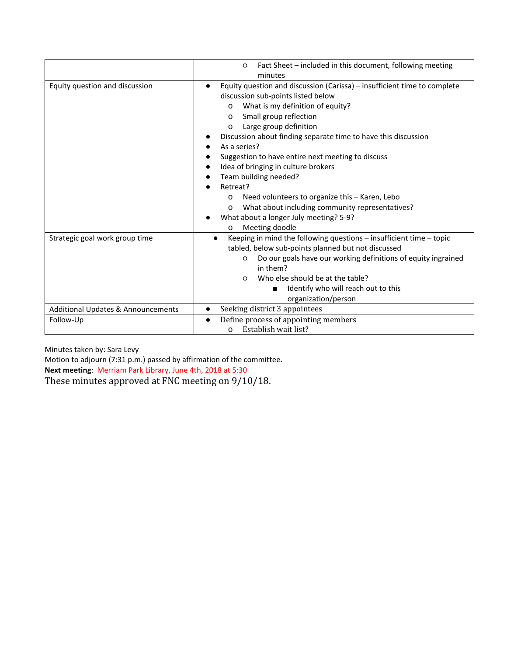|                                    | Fact Sheet - included in this document, following meeting<br>$\circ$<br>minutes                                                                                                                                                                                                                                                                                                                                                                                                                                                                                                                                                                                     |
|------------------------------------|---------------------------------------------------------------------------------------------------------------------------------------------------------------------------------------------------------------------------------------------------------------------------------------------------------------------------------------------------------------------------------------------------------------------------------------------------------------------------------------------------------------------------------------------------------------------------------------------------------------------------------------------------------------------|
| Equity question and discussion     | Equity question and discussion (Carissa) - insufficient time to complete<br>$\bullet$<br>discussion sub-points listed below<br>What is my definition of equity?<br>$\circ$<br>Small group reflection<br>$\circ$<br>Large group definition<br>$\circ$<br>Discussion about finding separate time to have this discussion<br>As a series?<br>Suggestion to have entire next meeting to discuss<br>Idea of bringing in culture brokers<br>Team building needed?<br>Retreat?<br>Need volunteers to organize this - Karen, Lebo<br>O<br>What about including community representatives?<br>$\circ$<br>What about a longer July meeting? 5-9?<br>Meeting doodle<br>$\circ$ |
| Strategic goal work group time     | Keeping in mind the following questions $-$ insufficient time $-$ topic<br>$\bullet$<br>tabled, below sub-points planned but not discussed<br>Do our goals have our working definitions of equity ingrained<br>$\circ$<br>in them?<br>Who else should be at the table?<br>$\Omega$<br>Identify who will reach out to this<br>■<br>organization/person                                                                                                                                                                                                                                                                                                               |
| Additional Updates & Announcements | Seeking district 3 appointees<br>$\bullet$                                                                                                                                                                                                                                                                                                                                                                                                                                                                                                                                                                                                                          |
| Follow-Up                          | Define process of appointing members<br>$\bullet$<br>Establish wait list?<br>$\circ$                                                                                                                                                                                                                                                                                                                                                                                                                                                                                                                                                                                |

Minutes taken by: Sara Levy

Motion to adjourn (7:31 p.m.) passed by affirmation of the committee. **Next meeting**: Merriam Park Library, June 4th, 2018 at 5:30 These minutes approved at FNC meeting on 9/10/18.